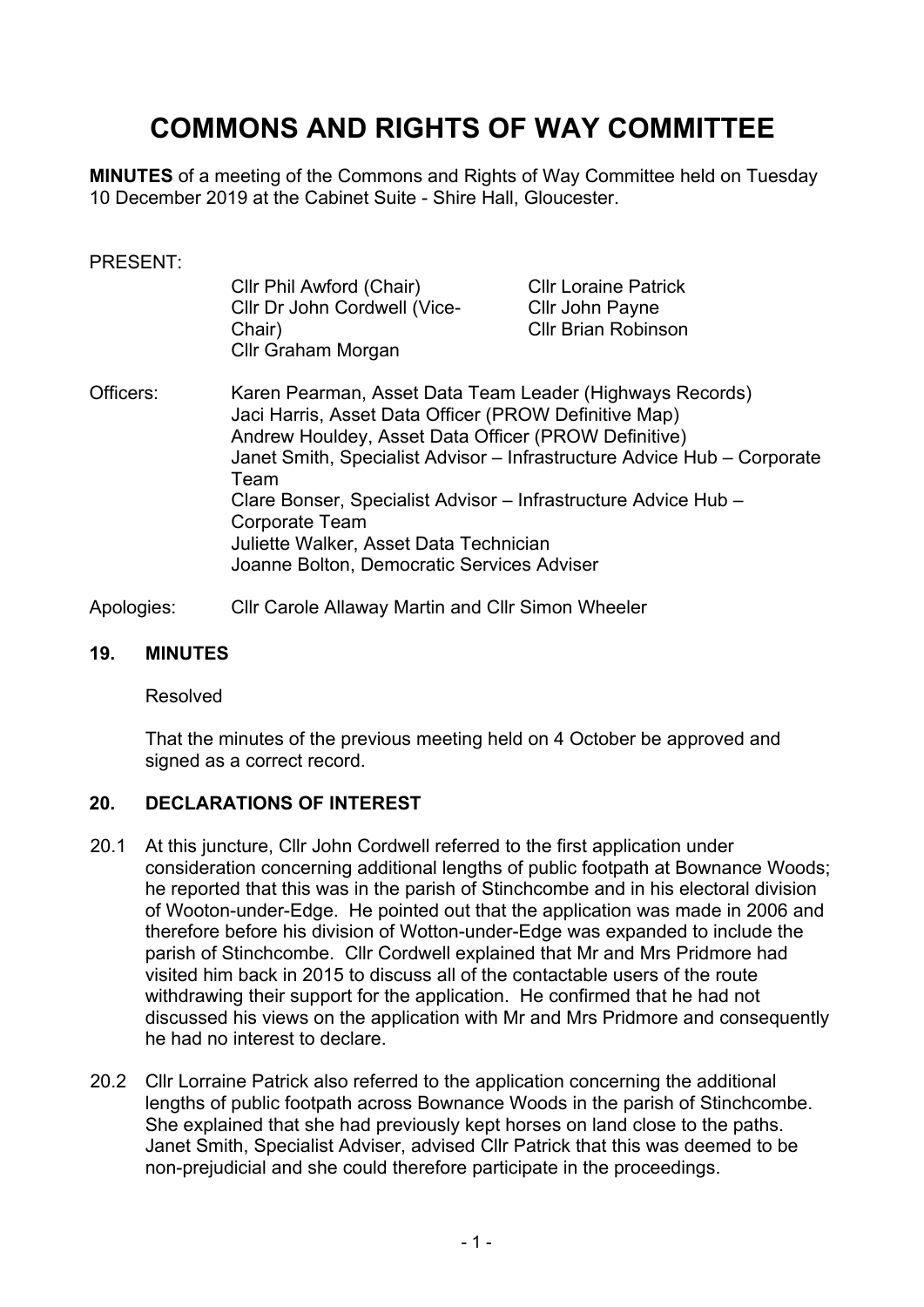# **COMMONS AND RIGHTS OF WAY COMMITTEE**

**MINUTES** of a meeting of the Commons and Rights of Way Committee held on Tuesday 10 December 2019 at the Cabinet Suite - Shire Hall, Gloucester.

#### PRESENT:

| Cllr Phil Awford (Chair)     | <b>Cllr Loraine Patrick</b> |
|------------------------------|-----------------------------|
| Cllr Dr John Cordwell (Vice- | Cllr John Payne             |
| Chair)                       | <b>CIIr Brian Robinson</b>  |
| Cllr Graham Morgan           |                             |

Officers: Karen Pearman, Asset Data Team Leader (Highways Records) Jaci Harris, Asset Data Officer (PROW Definitive Map) Andrew Houldey, Asset Data Officer (PROW Definitive) Janet Smith, Specialist Advisor – Infrastructure Advice Hub – Corporate Team Clare Bonser, Specialist Advisor – Infrastructure Advice Hub – Corporate Team Juliette Walker, Asset Data Technician Joanne Bolton, Democratic Services Adviser

Apologies: Cllr Carole Allaway Martin and Cllr Simon Wheeler

#### **19. MINUTES**

Resolved

That the minutes of the previous meeting held on 4 October be approved and signed as a correct record.

## **20. DECLARATIONS OF INTEREST**

- 20.1 At this juncture, Cllr John Cordwell referred to the first application under consideration concerning additional lengths of public footpath at Bownance Woods; he reported that this was in the parish of Stinchcombe and in his electoral division of Wooton-under-Edge. He pointed out that the application was made in 2006 and therefore before his division of Wotton-under-Edge was expanded to include the parish of Stinchcombe. Cllr Cordwell explained that Mr and Mrs Pridmore had visited him back in 2015 to discuss all of the contactable users of the route withdrawing their support for the application. He confirmed that he had not discussed his views on the application with Mr and Mrs Pridmore and consequently he had no interest to declare.
- 20.2 Cllr Lorraine Patrick also referred to the application concerning the additional lengths of public footpath across Bownance Woods in the parish of Stinchcombe. She explained that she had previously kept horses on land close to the paths. Janet Smith, Specialist Adviser, advised Cllr Patrick that this was deemed to be non-prejudicial and she could therefore participate in the proceedings.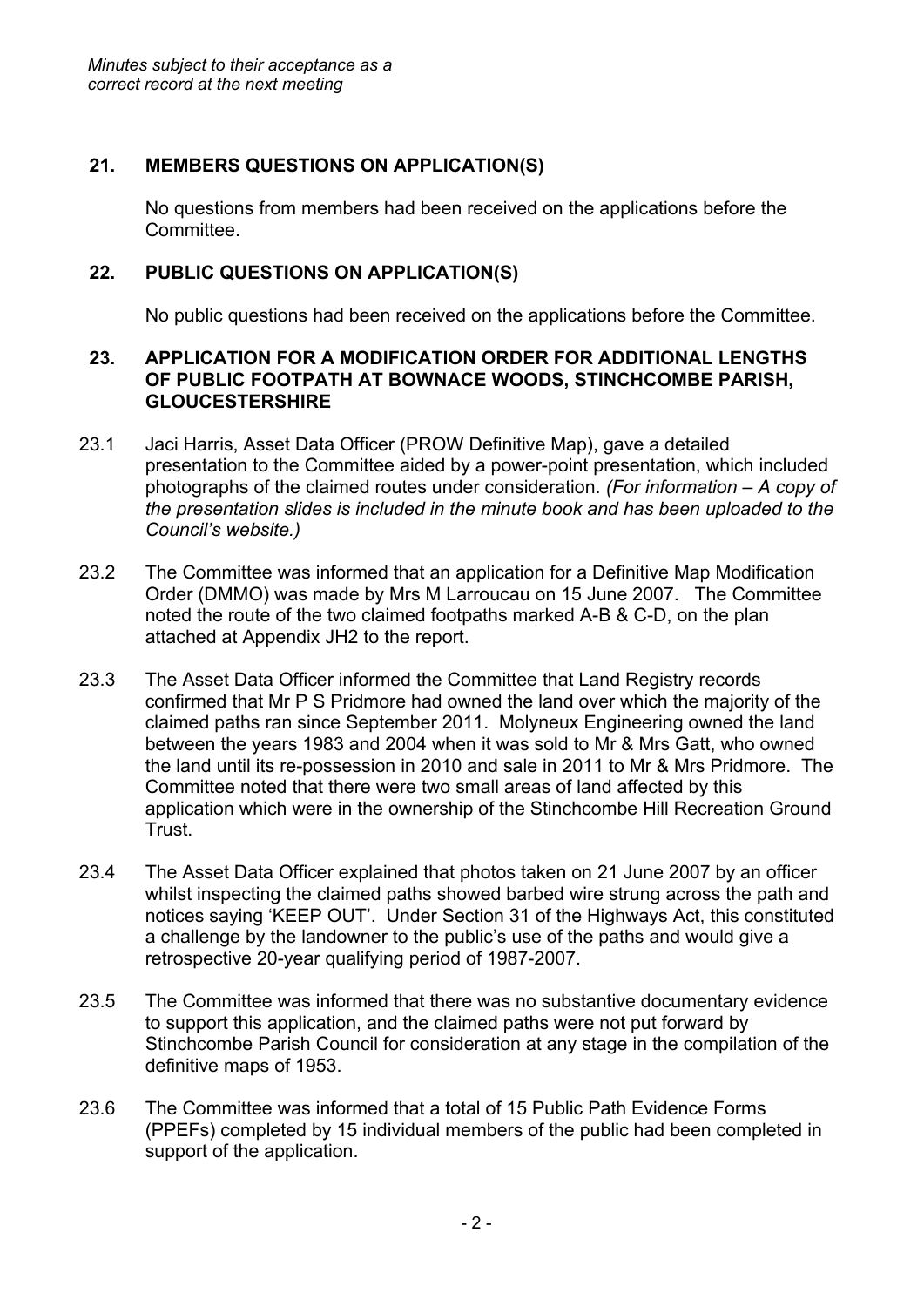# **21. MEMBERS QUESTIONS ON APPLICATION(S)**

No questions from members had been received on the applications before the Committee.

# **22. PUBLIC QUESTIONS ON APPLICATION(S)**

No public questions had been received on the applications before the Committee.

#### **23. APPLICATION FOR A MODIFICATION ORDER FOR ADDITIONAL LENGTHS OF PUBLIC FOOTPATH AT BOWNACE WOODS, STINCHCOMBE PARISH, GLOUCESTERSHIRE**

- 23.1 Jaci Harris, Asset Data Officer (PROW Definitive Map), gave a detailed presentation to the Committee aided by a power-point presentation, which included photographs of the claimed routes under consideration. *(For information – A copy of the presentation slides is included in the minute book and has been uploaded to the Council's website.)*
- 23.2 The Committee was informed that an application for a Definitive Map Modification Order (DMMO) was made by Mrs M Larroucau on 15 June 2007. The Committee noted the route of the two claimed footpaths marked A-B & C-D, on the plan attached at Appendix JH2 to the report.
- 23.3 The Asset Data Officer informed the Committee that Land Registry records confirmed that Mr P S Pridmore had owned the land over which the majority of the claimed paths ran since September 2011. Molyneux Engineering owned the land between the years 1983 and 2004 when it was sold to Mr & Mrs Gatt, who owned the land until its re-possession in 2010 and sale in 2011 to Mr & Mrs Pridmore. The Committee noted that there were two small areas of land affected by this application which were in the ownership of the Stinchcombe Hill Recreation Ground Trust.
- 23.4 The Asset Data Officer explained that photos taken on 21 June 2007 by an officer whilst inspecting the claimed paths showed barbed wire strung across the path and notices saying 'KEEP OUT'. Under Section 31 of the Highways Act, this constituted a challenge by the landowner to the public's use of the paths and would give a retrospective 20-year qualifying period of 1987-2007.
- 23.5 The Committee was informed that there was no substantive documentary evidence to support this application, and the claimed paths were not put forward by Stinchcombe Parish Council for consideration at any stage in the compilation of the definitive maps of 1953.
- 23.6 The Committee was informed that a total of 15 Public Path Evidence Forms (PPEFs) completed by 15 individual members of the public had been completed in support of the application.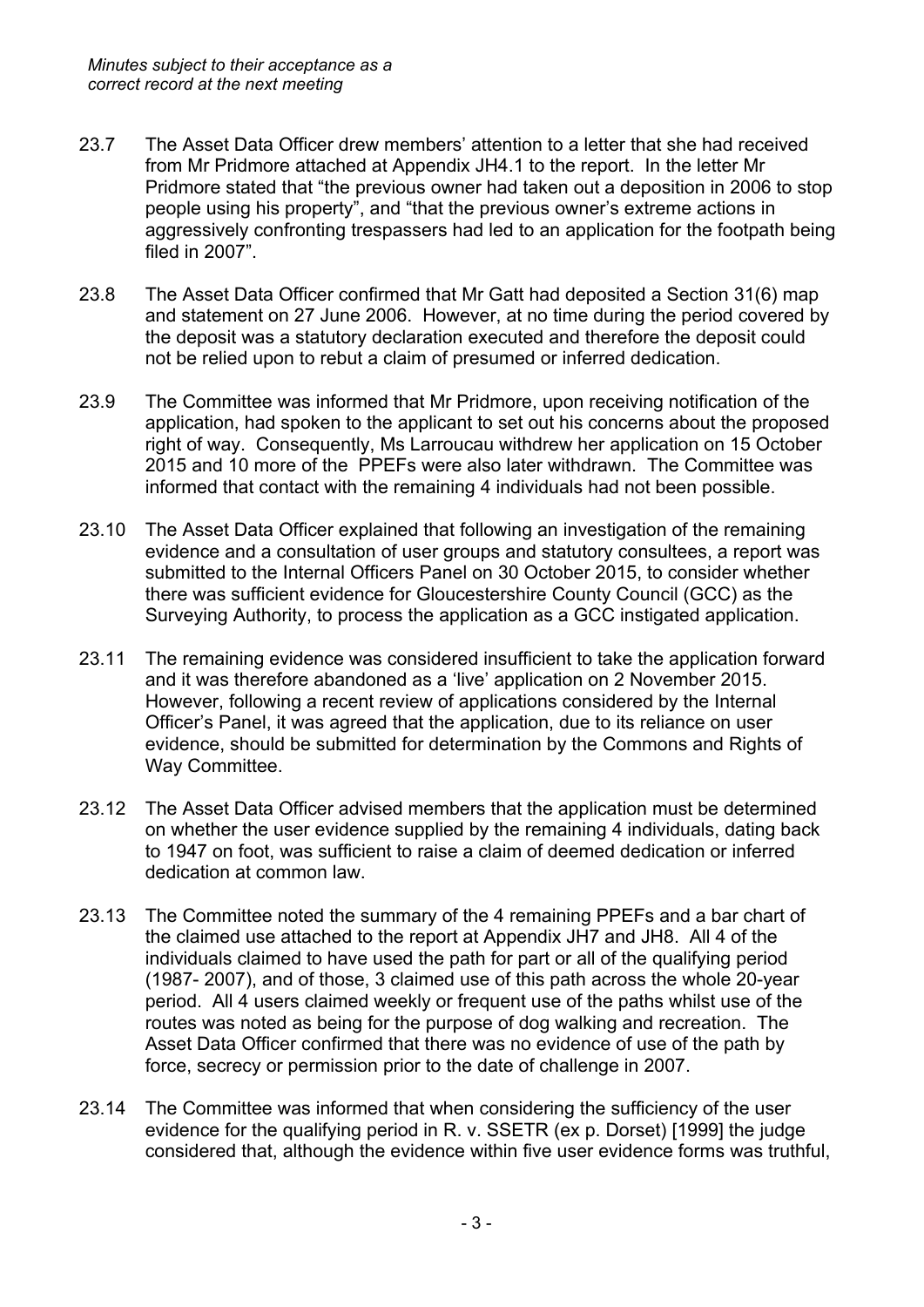- 23.7 The Asset Data Officer drew members' attention to a letter that she had received from Mr Pridmore attached at Appendix JH4.1 to the report. In the letter Mr Pridmore stated that "the previous owner had taken out a deposition in 2006 to stop people using his property", and "that the previous owner's extreme actions in aggressively confronting trespassers had led to an application for the footpath being filed in 2007".
- 23.8 The Asset Data Officer confirmed that Mr Gatt had deposited a Section 31(6) map and statement on 27 June 2006. However, at no time during the period covered by the deposit was a statutory declaration executed and therefore the deposit could not be relied upon to rebut a claim of presumed or inferred dedication.
- 23.9 The Committee was informed that Mr Pridmore, upon receiving notification of the application, had spoken to the applicant to set out his concerns about the proposed right of way. Consequently, Ms Larroucau withdrew her application on 15 October 2015 and 10 more of the PPEFs were also later withdrawn. The Committee was informed that contact with the remaining 4 individuals had not been possible.
- 23.10 The Asset Data Officer explained that following an investigation of the remaining evidence and a consultation of user groups and statutory consultees, a report was submitted to the Internal Officers Panel on 30 October 2015, to consider whether there was sufficient evidence for Gloucestershire County Council (GCC) as the Surveying Authority, to process the application as a GCC instigated application.
- 23.11 The remaining evidence was considered insufficient to take the application forward and it was therefore abandoned as a 'live' application on 2 November 2015. However, following a recent review of applications considered by the Internal Officer's Panel, it was agreed that the application, due to its reliance on user evidence, should be submitted for determination by the Commons and Rights of Way Committee.
- 23.12 The Asset Data Officer advised members that the application must be determined on whether the user evidence supplied by the remaining 4 individuals, dating back to 1947 on foot, was sufficient to raise a claim of deemed dedication or inferred dedication at common law.
- 23.13 The Committee noted the summary of the 4 remaining PPEFs and a bar chart of the claimed use attached to the report at Appendix JH7 and JH8. All 4 of the individuals claimed to have used the path for part or all of the qualifying period (1987- 2007), and of those, 3 claimed use of this path across the whole 20-year period. All 4 users claimed weekly or frequent use of the paths whilst use of the routes was noted as being for the purpose of dog walking and recreation. The Asset Data Officer confirmed that there was no evidence of use of the path by force, secrecy or permission prior to the date of challenge in 2007.
- 23.14 The Committee was informed that when considering the sufficiency of the user evidence for the qualifying period in R. v. SSETR (ex p. Dorset) [1999] the judge considered that, although the evidence within five user evidence forms was truthful,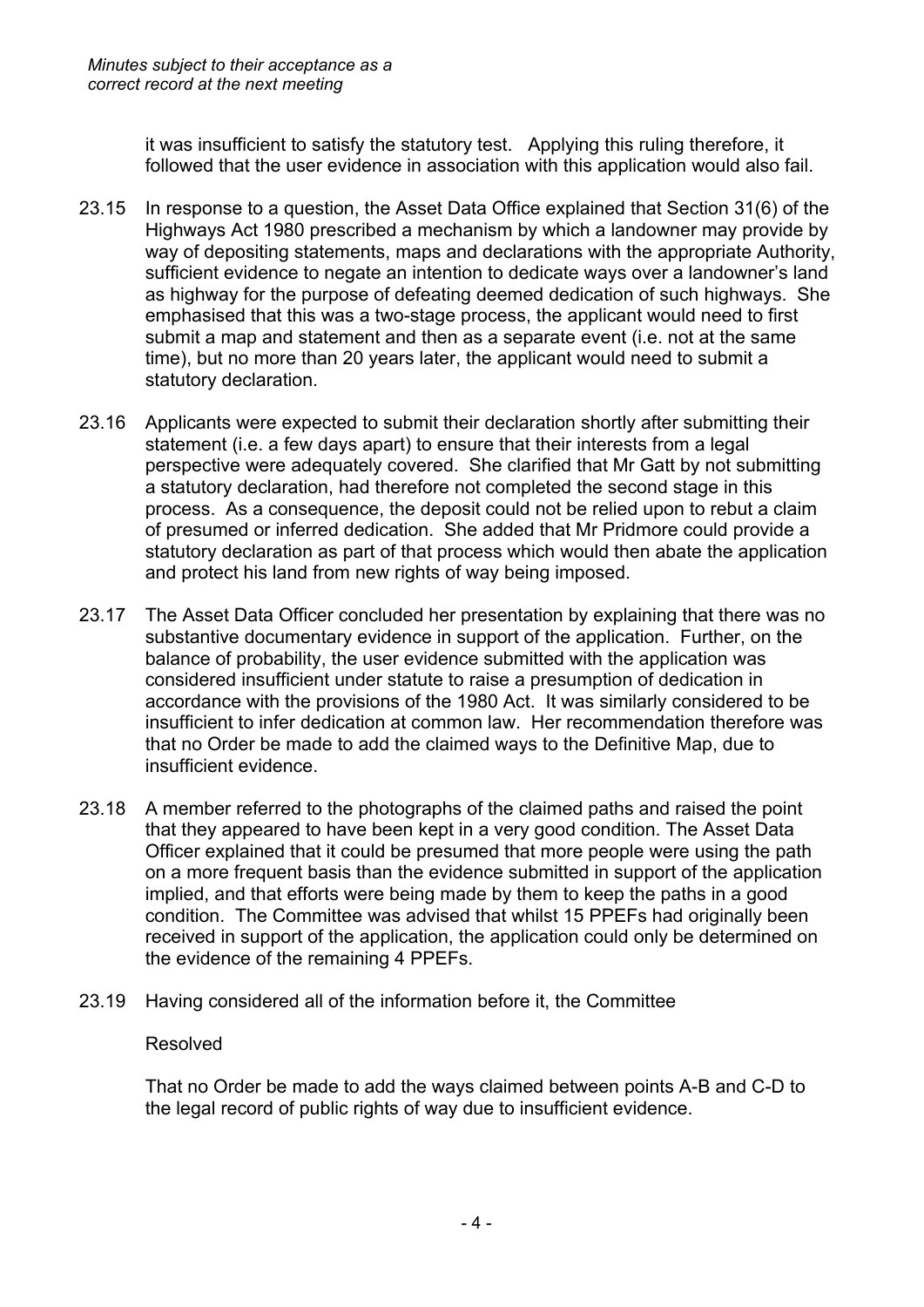it was insufficient to satisfy the statutory test. Applying this ruling therefore, it followed that the user evidence in association with this application would also fail.

- 23.15 In response to a question, the Asset Data Office explained that Section 31(6) of the Highways Act 1980 prescribed a mechanism by which a landowner may provide by way of depositing statements, maps and declarations with the appropriate Authority, sufficient evidence to negate an intention to dedicate ways over a landowner's land as highway for the purpose of defeating deemed dedication of such highways. She emphasised that this was a two-stage process, the applicant would need to first submit a map and statement and then as a separate event (i.e. not at the same time), but no more than 20 years later, the applicant would need to submit a statutory declaration.
- 23.16 Applicants were expected to submit their declaration shortly after submitting their statement (i.e. a few days apart) to ensure that their interests from a legal perspective were adequately covered. She clarified that Mr Gatt by not submitting a statutory declaration, had therefore not completed the second stage in this process. As a consequence, the deposit could not be relied upon to rebut a claim of presumed or inferred dedication. She added that Mr Pridmore could provide a statutory declaration as part of that process which would then abate the application and protect his land from new rights of way being imposed.
- 23.17 The Asset Data Officer concluded her presentation by explaining that there was no substantive documentary evidence in support of the application. Further, on the balance of probability, the user evidence submitted with the application was considered insufficient under statute to raise a presumption of dedication in accordance with the provisions of the 1980 Act. It was similarly considered to be insufficient to infer dedication at common law. Her recommendation therefore was that no Order be made to add the claimed ways to the Definitive Map, due to insufficient evidence.
- 23.18 A member referred to the photographs of the claimed paths and raised the point that they appeared to have been kept in a very good condition. The Asset Data Officer explained that it could be presumed that more people were using the path on a more frequent basis than the evidence submitted in support of the application implied, and that efforts were being made by them to keep the paths in a good condition. The Committee was advised that whilst 15 PPEFs had originally been received in support of the application, the application could only be determined on the evidence of the remaining 4 PPEFs.
- 23.19 Having considered all of the information before it, the Committee

## Resolved

That no Order be made to add the ways claimed between points A-B and C-D to the legal record of public rights of way due to insufficient evidence.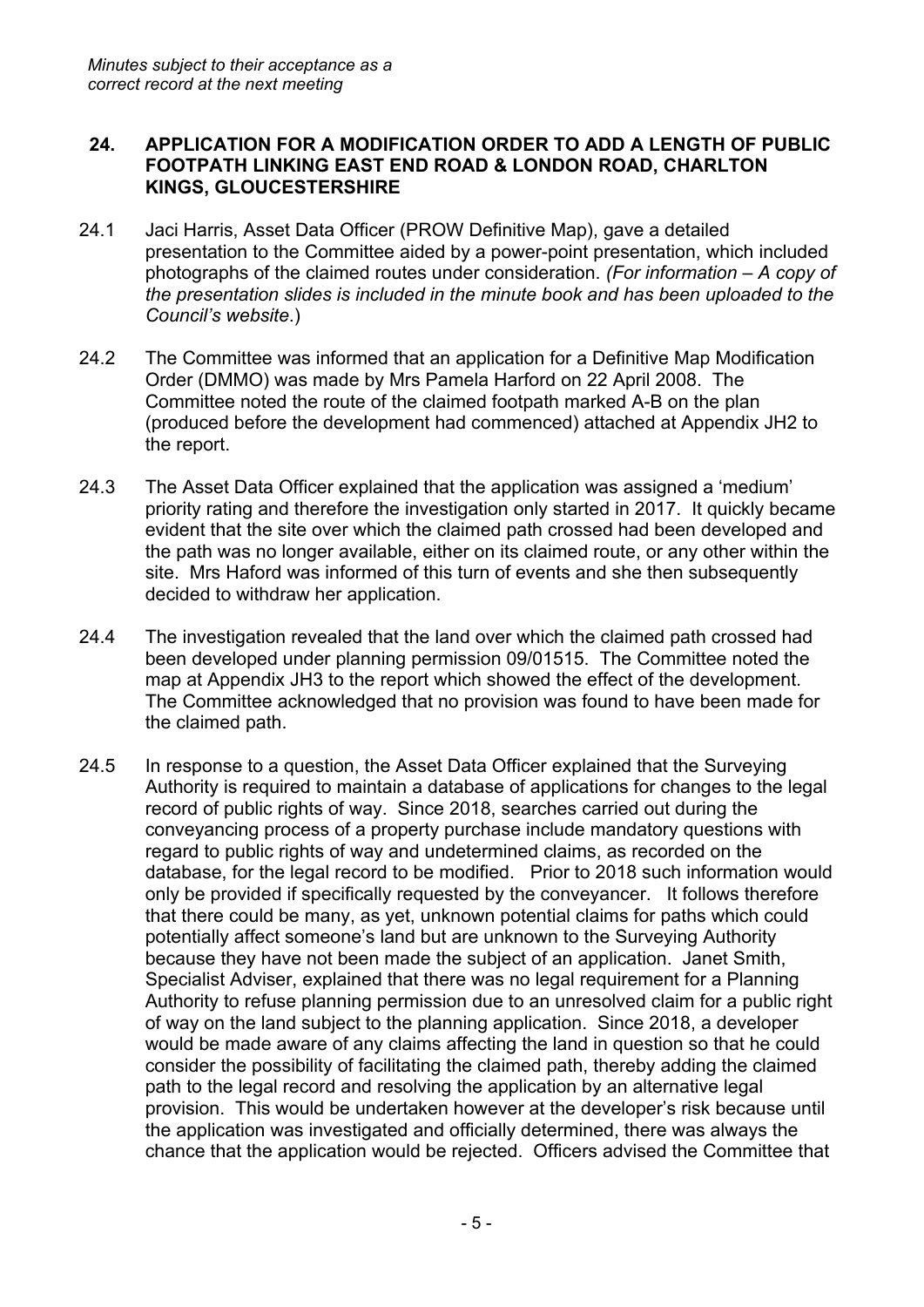## **24. APPLICATION FOR A MODIFICATION ORDER TO ADD A LENGTH OF PUBLIC FOOTPATH LINKING EAST END ROAD & LONDON ROAD, CHARLTON KINGS, GLOUCESTERSHIRE**

- 24.1 Jaci Harris, Asset Data Officer (PROW Definitive Map), gave a detailed presentation to the Committee aided by a power-point presentation, which included photographs of the claimed routes under consideration. *(For information – A copy of the presentation slides is included in the minute book and has been uploaded to the Council's website*.)
- 24.2 The Committee was informed that an application for a Definitive Map Modification Order (DMMO) was made by Mrs Pamela Harford on 22 April 2008. The Committee noted the route of the claimed footpath marked A-B on the plan (produced before the development had commenced) attached at Appendix JH2 to the report.
- 24.3 The Asset Data Officer explained that the application was assigned a 'medium' priority rating and therefore the investigation only started in 2017. It quickly became evident that the site over which the claimed path crossed had been developed and the path was no longer available, either on its claimed route, or any other within the site. Mrs Haford was informed of this turn of events and she then subsequently decided to withdraw her application.
- 24.4 The investigation revealed that the land over which the claimed path crossed had been developed under planning permission 09/01515. The Committee noted the map at Appendix JH3 to the report which showed the effect of the development. The Committee acknowledged that no provision was found to have been made for the claimed path.
- 24.5 In response to a question, the Asset Data Officer explained that the Surveying Authority is required to maintain a database of applications for changes to the legal record of public rights of way. Since 2018, searches carried out during the conveyancing process of a property purchase include mandatory questions with regard to public rights of way and undetermined claims, as recorded on the database, for the legal record to be modified. Prior to 2018 such information would only be provided if specifically requested by the conveyancer. It follows therefore that there could be many, as yet, unknown potential claims for paths which could potentially affect someone's land but are unknown to the Surveying Authority because they have not been made the subject of an application. Janet Smith, Specialist Adviser, explained that there was no legal requirement for a Planning Authority to refuse planning permission due to an unresolved claim for a public right of way on the land subject to the planning application. Since 2018, a developer would be made aware of any claims affecting the land in question so that he could consider the possibility of facilitating the claimed path, thereby adding the claimed path to the legal record and resolving the application by an alternative legal provision. This would be undertaken however at the developer's risk because until the application was investigated and officially determined, there was always the chance that the application would be rejected. Officers advised the Committee that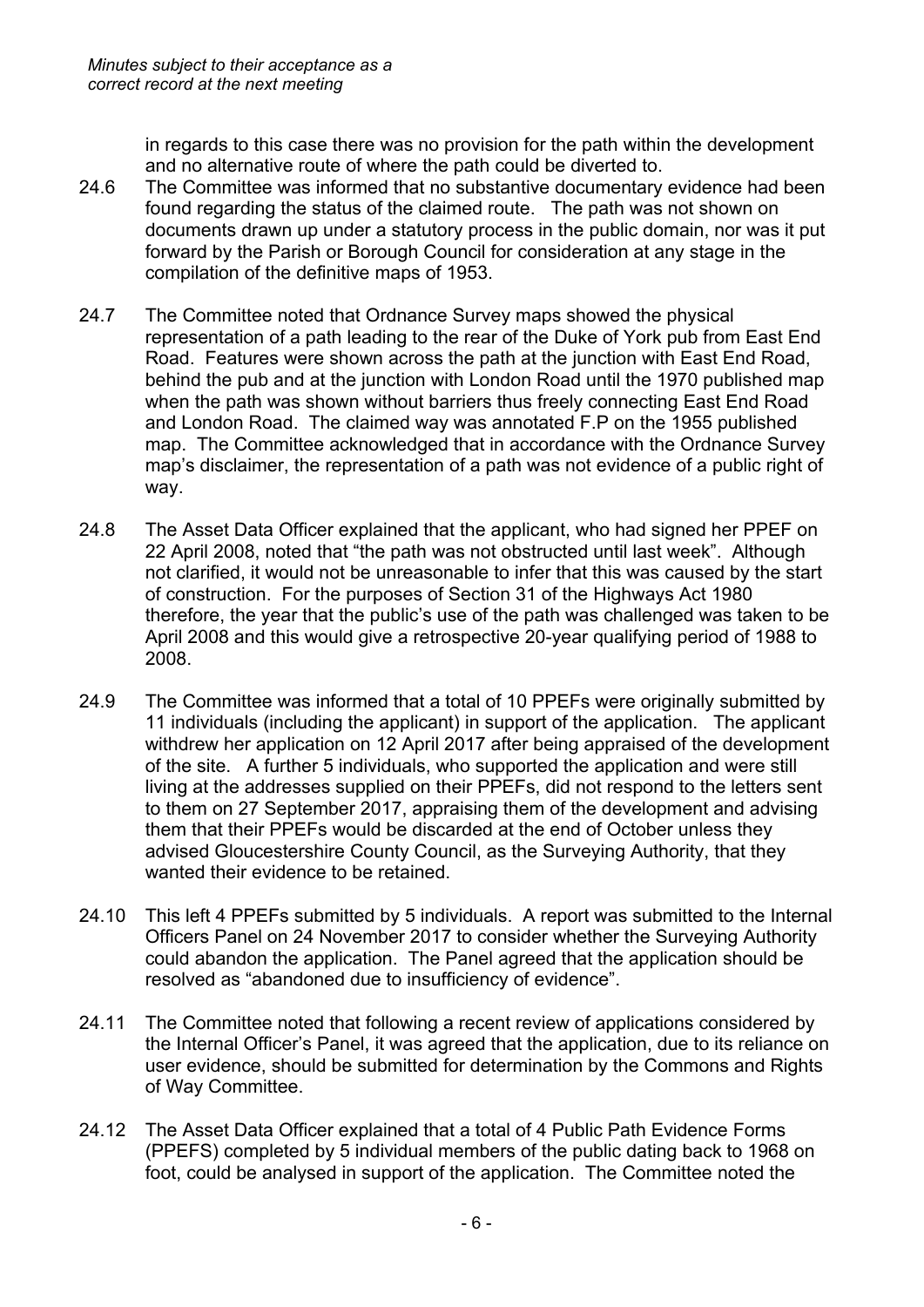in regards to this case there was no provision for the path within the development and no alternative route of where the path could be diverted to.

- 24.6 The Committee was informed that no substantive documentary evidence had been found regarding the status of the claimed route. The path was not shown on documents drawn up under a statutory process in the public domain, nor was it put forward by the Parish or Borough Council for consideration at any stage in the compilation of the definitive maps of 1953.
- 24.7 The Committee noted that Ordnance Survey maps showed the physical representation of a path leading to the rear of the Duke of York pub from East End Road. Features were shown across the path at the junction with East End Road, behind the pub and at the junction with London Road until the 1970 published map when the path was shown without barriers thus freely connecting East End Road and London Road. The claimed way was annotated F.P on the 1955 published map. The Committee acknowledged that in accordance with the Ordnance Survey map's disclaimer, the representation of a path was not evidence of a public right of way.
- 24.8 The Asset Data Officer explained that the applicant, who had signed her PPEF on 22 April 2008, noted that "the path was not obstructed until last week". Although not clarified, it would not be unreasonable to infer that this was caused by the start of construction. For the purposes of Section 31 of the Highways Act 1980 therefore, the year that the public's use of the path was challenged was taken to be April 2008 and this would give a retrospective 20-year qualifying period of 1988 to 2008.
- 24.9 The Committee was informed that a total of 10 PPEFs were originally submitted by 11 individuals (including the applicant) in support of the application. The applicant withdrew her application on 12 April 2017 after being appraised of the development of the site. A further 5 individuals, who supported the application and were still living at the addresses supplied on their PPEFs, did not respond to the letters sent to them on 27 September 2017, appraising them of the development and advising them that their PPEFs would be discarded at the end of October unless they advised Gloucestershire County Council, as the Surveying Authority, that they wanted their evidence to be retained.
- 24.10 This left 4 PPEFs submitted by 5 individuals. A report was submitted to the Internal Officers Panel on 24 November 2017 to consider whether the Surveying Authority could abandon the application. The Panel agreed that the application should be resolved as "abandoned due to insufficiency of evidence".
- 24.11 The Committee noted that following a recent review of applications considered by the Internal Officer's Panel, it was agreed that the application, due to its reliance on user evidence, should be submitted for determination by the Commons and Rights of Way Committee.
- 24.12 The Asset Data Officer explained that a total of 4 Public Path Evidence Forms (PPEFS) completed by 5 individual members of the public dating back to 1968 on foot, could be analysed in support of the application. The Committee noted the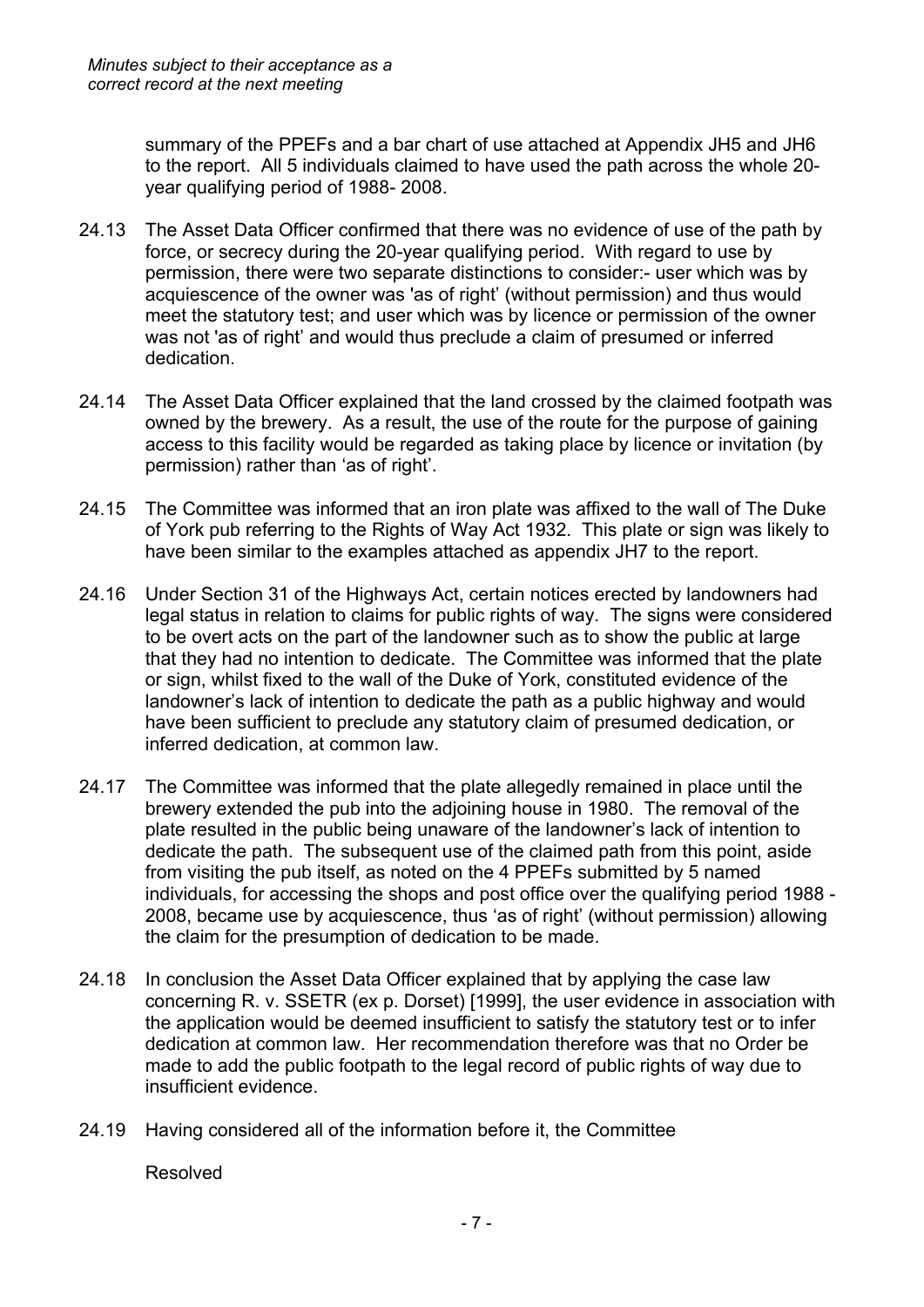summary of the PPEFs and a bar chart of use attached at Appendix JH5 and JH6 to the report. All 5 individuals claimed to have used the path across the whole 20 year qualifying period of 1988- 2008.

- 24.13 The Asset Data Officer confirmed that there was no evidence of use of the path by force, or secrecy during the 20-year qualifying period. With regard to use by permission, there were two separate distinctions to consider:- user which was by acquiescence of the owner was 'as of right' (without permission) and thus would meet the statutory test; and user which was by licence or permission of the owner was not 'as of right' and would thus preclude a claim of presumed or inferred dedication.
- 24.14 The Asset Data Officer explained that the land crossed by the claimed footpath was owned by the brewery. As a result, the use of the route for the purpose of gaining access to this facility would be regarded as taking place by licence or invitation (by permission) rather than 'as of right'.
- 24.15 The Committee was informed that an iron plate was affixed to the wall of The Duke of York pub referring to the Rights of Way Act 1932. This plate or sign was likely to have been similar to the examples attached as appendix JH7 to the report.
- 24.16 Under Section 31 of the Highways Act, certain notices erected by landowners had legal status in relation to claims for public rights of way. The signs were considered to be overt acts on the part of the landowner such as to show the public at large that they had no intention to dedicate. The Committee was informed that the plate or sign, whilst fixed to the wall of the Duke of York, constituted evidence of the landowner's lack of intention to dedicate the path as a public highway and would have been sufficient to preclude any statutory claim of presumed dedication, or inferred dedication, at common law.
- 24.17 The Committee was informed that the plate allegedly remained in place until the brewery extended the pub into the adjoining house in 1980. The removal of the plate resulted in the public being unaware of the landowner's lack of intention to dedicate the path. The subsequent use of the claimed path from this point, aside from visiting the pub itself, as noted on the 4 PPEFs submitted by 5 named individuals, for accessing the shops and post office over the qualifying period 1988 - 2008, became use by acquiescence, thus 'as of right' (without permission) allowing the claim for the presumption of dedication to be made.
- 24.18 In conclusion the Asset Data Officer explained that by applying the case law concerning R. v. SSETR (ex p. Dorset) [1999], the user evidence in association with the application would be deemed insufficient to satisfy the statutory test or to infer dedication at common law. Her recommendation therefore was that no Order be made to add the public footpath to the legal record of public rights of way due to insufficient evidence.
- 24.19 Having considered all of the information before it, the Committee

Resolved